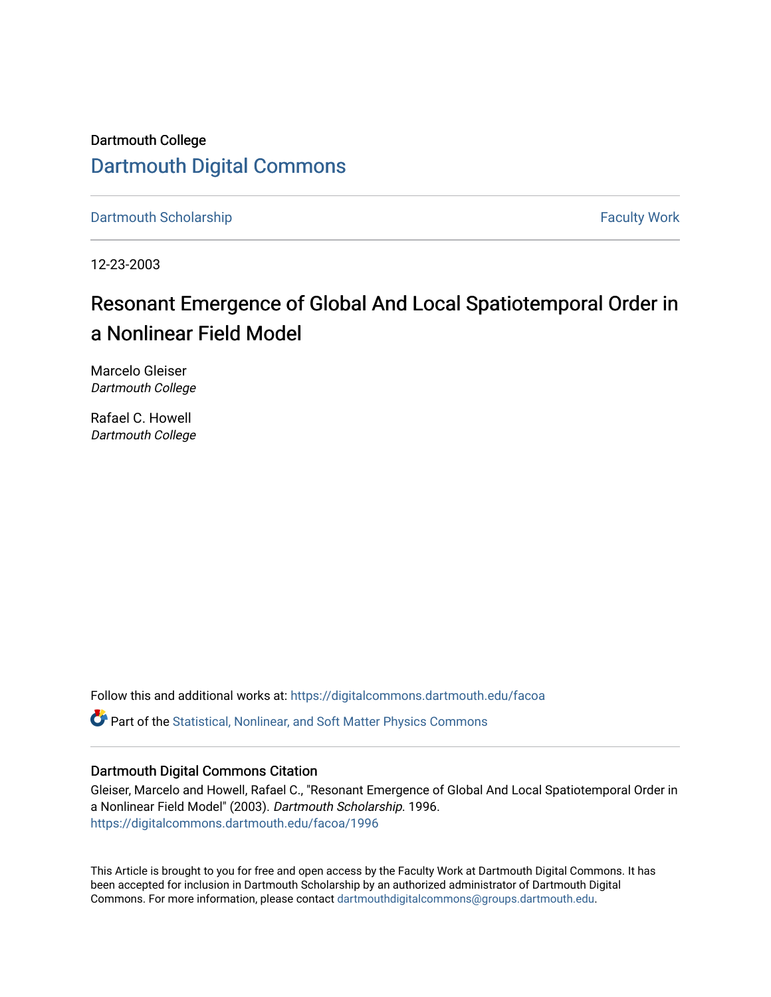Dartmouth College [Dartmouth Digital Commons](https://digitalcommons.dartmouth.edu/) 

[Dartmouth Scholarship](https://digitalcommons.dartmouth.edu/facoa) Faculty Work

12-23-2003

## Resonant Emergence of Global And Local Spatiotemporal Order in a Nonlinear Field Model

Marcelo Gleiser Dartmouth College

Rafael C. Howell Dartmouth College

Follow this and additional works at: [https://digitalcommons.dartmouth.edu/facoa](https://digitalcommons.dartmouth.edu/facoa?utm_source=digitalcommons.dartmouth.edu%2Ffacoa%2F1996&utm_medium=PDF&utm_campaign=PDFCoverPages)

**C** Part of the Statistical, Nonlinear, and Soft Matter Physics Commons

## Dartmouth Digital Commons Citation

Gleiser, Marcelo and Howell, Rafael C., "Resonant Emergence of Global And Local Spatiotemporal Order in a Nonlinear Field Model" (2003). Dartmouth Scholarship. 1996. [https://digitalcommons.dartmouth.edu/facoa/1996](https://digitalcommons.dartmouth.edu/facoa/1996?utm_source=digitalcommons.dartmouth.edu%2Ffacoa%2F1996&utm_medium=PDF&utm_campaign=PDFCoverPages) 

This Article is brought to you for free and open access by the Faculty Work at Dartmouth Digital Commons. It has been accepted for inclusion in Dartmouth Scholarship by an authorized administrator of Dartmouth Digital Commons. For more information, please contact [dartmouthdigitalcommons@groups.dartmouth.edu](mailto:dartmouthdigitalcommons@groups.dartmouth.edu).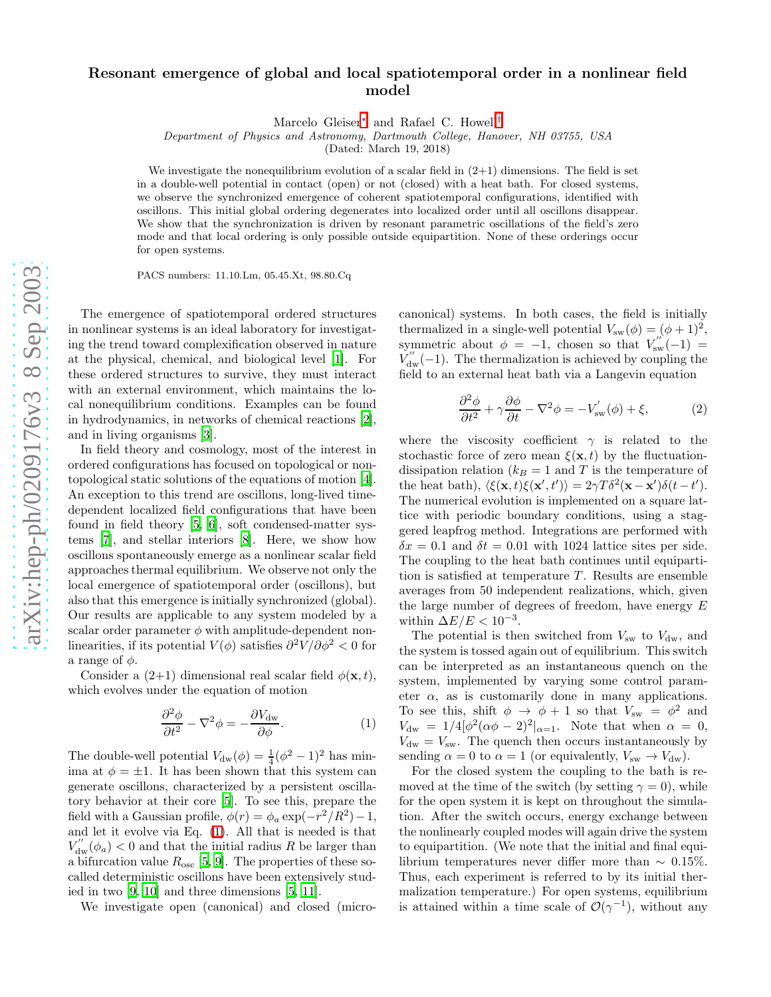## arXiv:hep-ph/0209176v3 8 Sep 2003 [arXiv:hep-ph/0209176v3 8 Sep 2003](http://arxiv.org/abs/hep-ph/0209176v3)

## Resonant emergence of global and local spatiotemporal order in a nonlinear field model

Marcelo Gleiser<sup>\*</sup> and Rafael C. Howell<sup>[†](#page-4-1)</sup>

Department of Physics and Astronomy, Dartmouth College, Hanover, NH 03755, USA

(Dated: March 19, 2018)

We investigate the nonequilibrium evolution of a scalar field in  $(2+1)$  dimensions. The field is set in a double-well potential in contact (open) or not (closed) with a heat bath. For closed systems, we observe the synchronized emergence of coherent spatiotemporal configurations, identified with oscillons. This initial global ordering degenerates into localized order until all oscillons disappear. We show that the synchronization is driven by resonant parametric oscillations of the field's zero mode and that local ordering is only possible outside equipartition. None of these orderings occur for open systems.

PACS numbers: 11.10.Lm, 05.45.Xt, 98.80.Cq

The emergence of spatiotemporal ordered structures in nonlinear systems is an ideal laboratory for investigating the trend toward complexification observed in nature at the physical, chemical, and biological level [\[1\]](#page-4-2). For these ordered structures to survive, they must interact with an external environment, which maintains the local nonequilibrium conditions. Examples can be found in hydrodynamics, in networks of chemical reactions [\[2\]](#page-4-3), and in living organisms [\[3\]](#page-4-4).

In field theory and cosmology, most of the interest in ordered configurations has focused on topological or nontopological static solutions of the equations of motion [\[4\]](#page-4-5). An exception to this trend are oscillons, long-lived timedependent localized field configurations that have been found in field theory [\[5,](#page-4-6) [6\]](#page-4-7), soft condensed-matter systems [\[7\]](#page-4-8), and stellar interiors [\[8\]](#page-4-9). Here, we show how oscillons spontaneously emerge as a nonlinear scalar field approaches thermal equilibrium. We observe not only the local emergence of spatiotemporal order (oscillons), but also that this emergence is initially synchronized (global). Our results are applicable to any system modeled by a scalar order parameter  $\phi$  with amplitude-dependent nonlinearities, if its potential  $V(\phi)$  satisfies  $\partial^2 V/\partial \phi^2 < 0$  for a range of  $\phi$ .

Consider a  $(2+1)$  dimensional real scalar field  $\phi(\mathbf{x},t)$ , which evolves under the equation of motion

<span id="page-1-0"></span>
$$
\frac{\partial^2 \phi}{\partial t^2} - \nabla^2 \phi = -\frac{\partial V_{\rm dw}}{\partial \phi}.
$$
 (1)

The double-well potential  $V_{dw}(\phi) = \frac{1}{4}(\phi^2 - 1)^2$  has minima at  $\phi = \pm 1$ . It has been shown that this system can generate oscillons, characterized by a persistent oscillatory behavior at their core [\[5](#page-4-6)]. To see this, prepare the field with a Gaussian profile,  $\dot{\phi}(r) = \phi_a \exp(-r^2/R^2) - 1$ , and let it evolve via Eq. [\(1\)](#page-1-0). All that is needed is that  $V''_{\text{dw}}(\phi_a) < 0$  and that the initial radius R be larger than a bifurcation value  $R_{\text{osc}}$  [\[5](#page-4-6), [9\]](#page-4-10). The properties of these socalled deterministic oscillons have been extensively studied in two [\[9](#page-4-10), [10](#page-4-11)] and three dimensions [\[5,](#page-4-6) [11](#page-4-12)].

We investigate open (canonical) and closed (micro-

canonical) systems. In both cases, the field is initially thermalized in a single-well potential  $V_{sw}(\phi) = (\phi + 1)^2$ , symmetric about  $\phi = -1$ , chosen so that  $V_{sw}^{''(-1)} =$  $V_{\text{dw}}^{''}(-1)$ . The thermalization is achieved by coupling the field to an external heat bath via a Langevin equation

$$
\frac{\partial^2 \phi}{\partial t^2} + \gamma \frac{\partial \phi}{\partial t} - \nabla^2 \phi = -V'_{\rm sw}(\phi) + \xi, \tag{2}
$$

where the viscosity coefficient  $\gamma$  is related to the stochastic force of zero mean  $\xi(\mathbf{x},t)$  by the fluctuationdissipation relation ( $k_B = 1$  and T is the temperature of the heat bath),  $\langle \xi(\mathbf{x},t)\xi(\mathbf{x}',t') \rangle = 2\gamma T \delta^2(\mathbf{x}-\mathbf{x}')\delta(t-t').$ The numerical evolution is implemented on a square lattice with periodic boundary conditions, using a staggered leapfrog method. Integrations are performed with  $\delta x = 0.1$  and  $\delta t = 0.01$  with 1024 lattice sites per side. The coupling to the heat bath continues until equipartition is satisfied at temperature  $T$ . Results are ensemble averages from 50 independent realizations, which, given the large number of degrees of freedom, have energy E within  $\Delta E/E < 10^{-3}$ .

The potential is then switched from  $V_{\text{sw}}$  to  $V_{\text{dw}}$ , and the system is tossed again out of equilibrium. This switch can be interpreted as an instantaneous quench on the system, implemented by varying some control parameter  $\alpha$ , as is customarily done in many applications. To see this, shift  $\phi \to \phi + 1$  so that  $V_{sw} = \phi^2$  and  $V_{\text{dw}} = 1/4[\phi^2(\alpha\phi-2)^2]_{\alpha=1}$ . Note that when  $\alpha = 0$ ,  $V_{\text{dw}} = V_{\text{sw}}$ . The quench then occurs instantaneously by sending  $\alpha = 0$  to  $\alpha = 1$  (or equivalently,  $V_{\rm sw} \rightarrow V_{\rm dw}$ ).

For the closed system the coupling to the bath is removed at the time of the switch (by setting  $\gamma = 0$ ), while for the open system it is kept on throughout the simulation. After the switch occurs, energy exchange between the nonlinearly coupled modes will again drive the system to equipartition. (We note that the initial and final equilibrium temperatures never differ more than  $\sim 0.15\%$ . Thus, each experiment is referred to by its initial thermalization temperature.) For open systems, equilibrium is attained within a time scale of  $\mathcal{O}(\gamma^{-1})$ , without any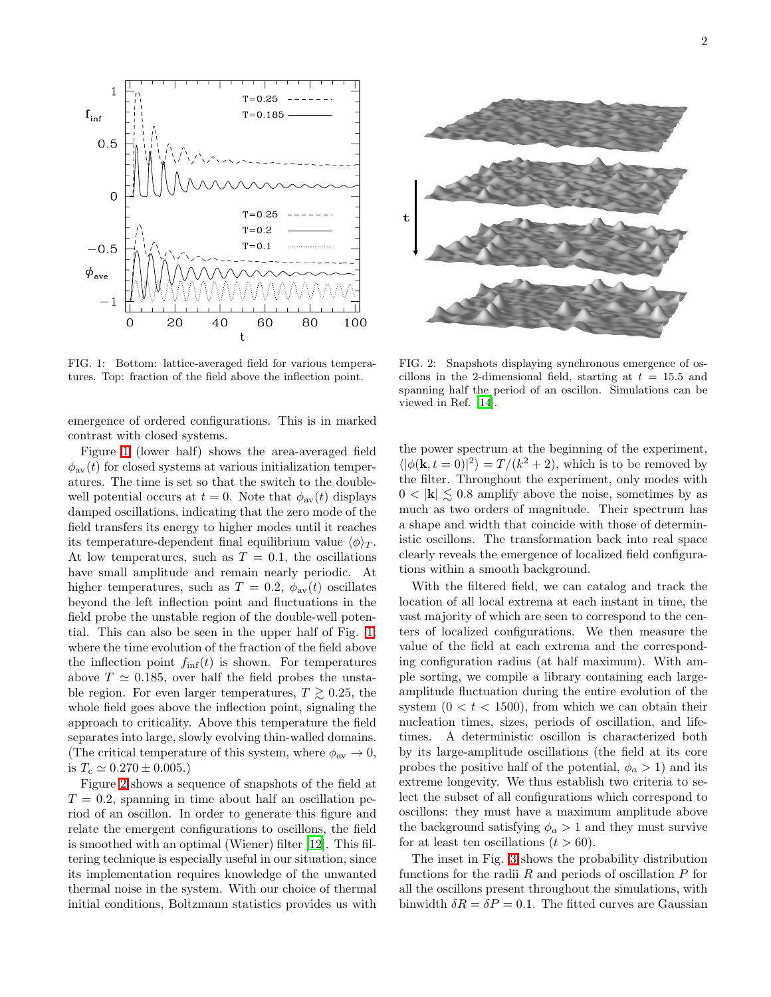

<span id="page-2-0"></span>FIG. 1: Bottom: lattice-averaged field for various temperatures. Top: fraction of the field above the inflection point.

emergence of ordered configurations. This is in marked contrast with closed systems.

Figure [1](#page-2-0) (lower half) shows the area-averaged field  $\phi_{av}(t)$  for closed systems at various initialization temperatures. The time is set so that the switch to the doublewell potential occurs at  $t = 0$ . Note that  $\phi_{av}(t)$  displays damped oscillations, indicating that the zero mode of the field transfers its energy to higher modes until it reaches its temperature-dependent final equilibrium value  $\langle \phi \rangle_T$ . At low temperatures, such as  $T = 0.1$ , the oscillations have small amplitude and remain nearly periodic. At higher temperatures, such as  $T = 0.2$ ,  $\phi_{av}(t)$  oscillates beyond the left inflection point and fluctuations in the field probe the unstable region of the double-well potential. This can also be seen in the upper half of Fig. [1,](#page-2-0) where the time evolution of the fraction of the field above the inflection point  $f_{\text{inf}}(t)$  is shown. For temperatures above  $T \simeq 0.185$ , over half the field probes the unstable region. For even larger temperatures,  $T \geq 0.25$ , the whole field goes above the inflection point, signaling the approach to criticality. Above this temperature the field separates into large, slowly evolving thin-walled domains. (The critical temperature of this system, where  $\phi_{av} \rightarrow 0$ , is  $T_c \simeq 0.270 \pm 0.005$ .)

Figure [2](#page-2-1) shows a sequence of snapshots of the field at  $T = 0.2$ , spanning in time about half an oscillation period of an oscillon. In order to generate this figure and relate the emergent configurations to oscillons, the field is smoothed with an optimal (Wiener) filter [\[12\]](#page-4-13). This filtering technique is especially useful in our situation, since its implementation requires knowledge of the unwanted thermal noise in the system. With our choice of thermal initial conditions, Boltzmann statistics provides us with



<span id="page-2-1"></span>FIG. 2: Snapshots displaying synchronous emergence of oscillons in the 2-dimensional field, starting at  $t = 15.5$  and spanning half the period of an oscillon. Simulations can be viewed in Ref. [\[14](#page-5-0)].

the power spectrum at the beginning of the experiment,  $\langle |\phi(\mathbf{k}, t=0)|^2 \rangle = T/(k^2 + 2)$ , which is to be removed by the filter. Throughout the experiment, only modes with  $0 < |{\bf k}| \leq 0.8$  amplify above the noise, sometimes by as much as two orders of magnitude. Their spectrum has a shape and width that coincide with those of deterministic oscillons. The transformation back into real space clearly reveals the emergence of localized field configurations within a smooth background.

With the filtered field, we can catalog and track the location of all local extrema at each instant in time, the vast majority of which are seen to correspond to the centers of localized configurations. We then measure the value of the field at each extrema and the corresponding configuration radius (at half maximum). With ample sorting, we compile a library containing each largeamplitude fluctuation during the entire evolution of the system  $(0 < t < 1500)$ , from which we can obtain their nucleation times, sizes, periods of oscillation, and lifetimes. A deterministic oscillon is characterized both by its large-amplitude oscillations (the field at its core probes the positive half of the potential,  $\phi_a > 1$ ) and its extreme longevity. We thus establish two criteria to select the subset of all configurations which correspond to oscillons: they must have a maximum amplitude above the background satisfying  $\phi_a > 1$  and they must survive for at least ten oscillations  $(t > 60)$ .

The inset in Fig. [3](#page-3-0) shows the probability distribution functions for the radii  $R$  and periods of oscillation  $P$  for all the oscillons present throughout the simulations, with binwidth  $\delta R = \delta P = 0.1$ . The fitted curves are Gaussian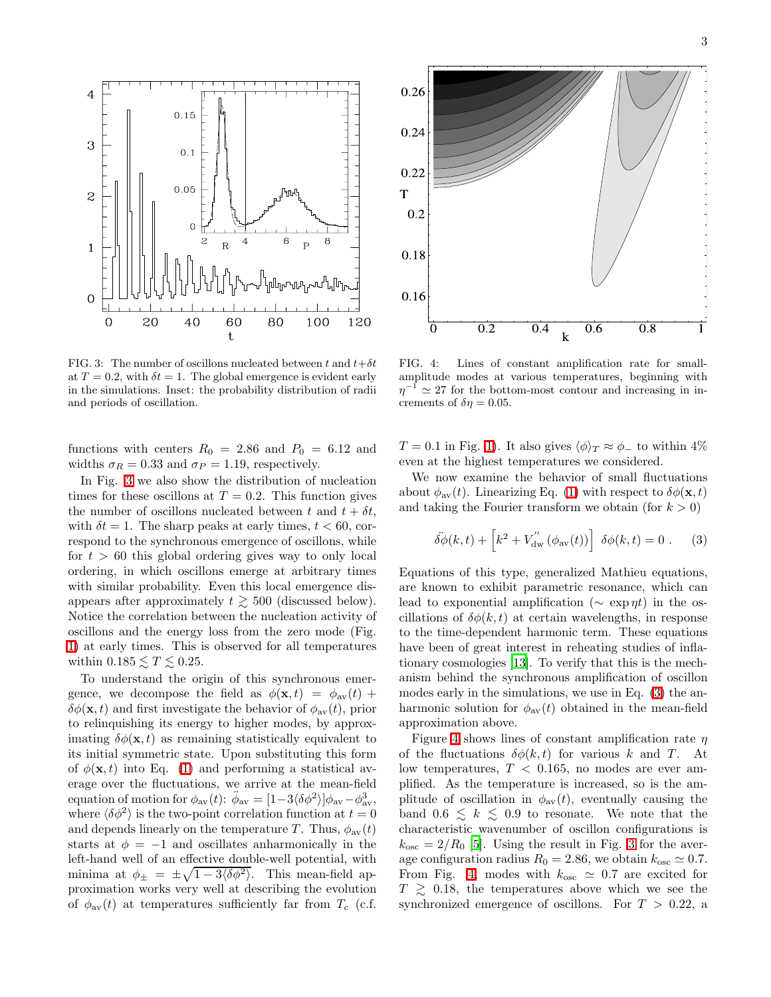

<span id="page-3-0"></span>FIG. 3: The number of oscillons nucleated between t and  $t+\delta t$ at  $T = 0.2$ , with  $\delta t = 1$ . The global emergence is evident early in the simulations. Inset: the probability distribution of radii and periods of oscillation.

functions with centers  $R_0 = 2.86$  and  $P_0 = 6.12$  and widths  $\sigma_R = 0.33$  and  $\sigma_P = 1.19$ , respectively.

In Fig. [3](#page-3-0) we also show the distribution of nucleation times for these oscillons at  $T = 0.2$ . This function gives the number of oscillons nucleated between t and  $t + \delta t$ , with  $\delta t = 1$ . The sharp peaks at early times,  $t < 60$ , correspond to the synchronous emergence of oscillons, while for  $t > 60$  this global ordering gives way to only local ordering, in which oscillons emerge at arbitrary times with similar probability. Even this local emergence disappears after approximately  $t \geq 500$  (discussed below). Notice the correlation between the nucleation activity of oscillons and the energy loss from the zero mode (Fig. [1\)](#page-2-0) at early times. This is observed for all temperatures within  $0.185 \leq T \leq 0.25$ .

To understand the origin of this synchronous emergence, we decompose the field as  $\phi(\mathbf{x}, t) = \phi_{av}(t) +$  $\delta\phi(\mathbf{x}, t)$  and first investigate the behavior of  $\phi_{\text{av}}(t)$ , prior to relinquishing its energy to higher modes, by approximating  $\delta\phi(\mathbf{x},t)$  as remaining statistically equivalent to its initial symmetric state. Upon substituting this form of  $\phi(\mathbf{x}, t)$  into Eq. [\(1\)](#page-1-0) and performing a statistical average over the fluctuations, we arrive at the mean-field equation of motion for  $\phi_{av}(t)$ :  $\ddot{\phi}_{av} = [1 - 3\langle \delta \phi^2 \rangle] \phi_{av} - \phi_{av}^3$ , where  $\langle \delta \phi^2 \rangle$  is the two-point correlation function at  $t = 0$ and depends linearly on the temperature T. Thus,  $\phi_{av}(t)$ starts at  $\phi = -1$  and oscillates anharmonically in the left-hand well of an effective double-well potential, with minima at  $\phi_{\pm} = \pm \sqrt{1 - 3 \langle \delta \phi^2 \rangle}$ . This mean-field approximation works very well at describing the evolution of  $\phi_{av}(t)$  at temperatures sufficiently far from  $T_c$  (c.f.



<span id="page-3-2"></span>FIG. 4: Lines of constant amplification rate for smallamplitude modes at various temperatures, beginning with  $\eta^{-1} \simeq 27$  for the bottom-most contour and increasing in increments of  $\delta \eta = 0.05$ .

 $T = 0.1$  in Fig. [1\)](#page-2-0). It also gives  $\langle \phi \rangle_T \approx \phi_-$  to within 4% even at the highest temperatures we considered.

We now examine the behavior of small fluctuations about  $\phi_{av}(t)$ . Linearizing Eq. [\(1\)](#page-1-0) with respect to  $\delta\phi(\mathbf{x},t)$ and taking the Fourier transform we obtain (for  $k > 0$ )

<span id="page-3-1"></span>
$$
\ddot{\delta\phi}(k,t) + \left[k^2 + V_{\text{dw}}''(\phi_{\text{av}}(t))\right] \delta\phi(k,t) = 0.
$$
 (3)

Equations of this type, generalized Mathieu equations, are known to exhibit parametric resonance, which can lead to exponential amplification ( $\sim \exp(\eta t)$  in the oscillations of  $\delta\phi(k,t)$  at certain wavelengths, in response to the time-dependent harmonic term. These equations have been of great interest in reheating studies of inflationary cosmologies [\[13\]](#page-4-14). To verify that this is the mechanism behind the synchronous amplification of oscillon modes early in the simulations, we use in Eq. [\(3\)](#page-3-1) the anharmonic solution for  $\phi_{av}(t)$  obtained in the mean-field approximation above.

Figure [4](#page-3-2) shows lines of constant amplification rate  $\eta$ of the fluctuations  $\delta\phi(k,t)$  for various k and T. At low temperatures,  $T < 0.165$ , no modes are ever amplified. As the temperature is increased, so is the amplitude of oscillation in  $\phi_{av}(t)$ , eventually causing the band  $0.6 \leq k \leq 0.9$  to resonate. We note that the characteristic wavenumber of oscillon configurations is  $k_{\rm osc} = 2/R_0$  [\[5\]](#page-4-6). Using the result in Fig. [3](#page-3-0) for the average configuration radius  $R_0 = 2.86$ , we obtain  $k_{\text{osc}} \simeq 0.7$ . From Fig. [4,](#page-3-2) modes with  $k_{\text{osc}} \approx 0.7$  are excited for  $T \geq 0.18$ , the temperatures above which we see the synchronized emergence of oscillons. For  $T > 0.22$ , a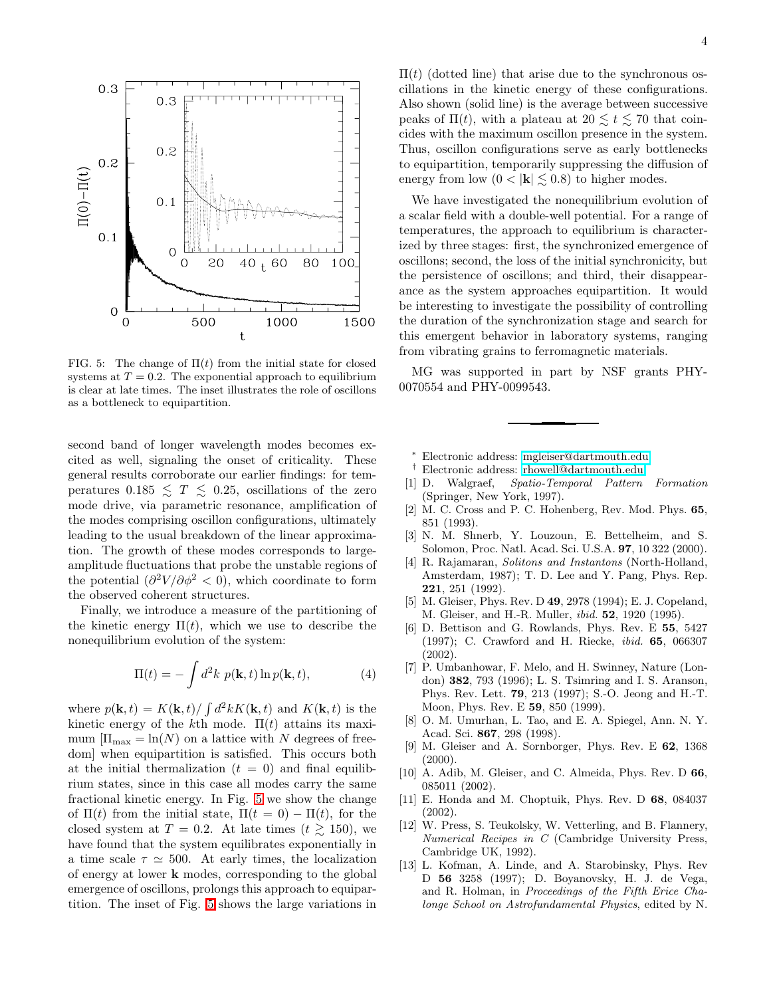

<span id="page-4-15"></span>FIG. 5: The change of  $\Pi(t)$  from the initial state for closed systems at  $T = 0.2$ . The exponential approach to equilibrium is clear at late times. The inset illustrates the role of oscillons as a bottleneck to equipartition.

second band of longer wavelength modes becomes excited as well, signaling the onset of criticality. These general results corroborate our earlier findings: for temperatures  $0.185 \leq T \leq 0.25$ , oscillations of the zero mode drive, via parametric resonance, amplification of the modes comprising oscillon configurations, ultimately leading to the usual breakdown of the linear approximation. The growth of these modes corresponds to largeamplitude fluctuations that probe the unstable regions of the potential  $\left(\frac{\partial^2 V}{\partial \phi^2} < 0\right)$ , which coordinate to form the observed coherent structures.

Finally, we introduce a measure of the partitioning of the kinetic energy  $\Pi(t)$ , which we use to describe the nonequilibrium evolution of the system:

$$
\Pi(t) = -\int d^2k \ p(\mathbf{k}, t) \ln p(\mathbf{k}, t), \tag{4}
$$

where  $p(\mathbf{k},t) = K(\mathbf{k},t)/\int d^2k K(\mathbf{k},t)$  and  $K(\mathbf{k},t)$  is the kinetic energy of the kth mode.  $\Pi(t)$  attains its maximum  $[\Pi_{\text{max}} = \text{ln}(N)$  on a lattice with N degrees of freedom] when equipartition is satisfied. This occurs both at the initial thermalization  $(t = 0)$  and final equilibrium states, since in this case all modes carry the same fractional kinetic energy. In Fig. [5](#page-4-15) we show the change of  $\Pi(t)$  from the initial state,  $\Pi(t = 0) - \Pi(t)$ , for the closed system at  $T = 0.2$ . At late times  $(t \ge 150)$ , we have found that the system equilibrates exponentially in a time scale  $\tau \simeq 500$ . At early times, the localization of energy at lower k modes, corresponding to the global emergence of oscillons, prolongs this approach to equipartition. The inset of Fig. [5](#page-4-15) shows the large variations in  $\Pi(t)$  (dotted line) that arise due to the synchronous oscillations in the kinetic energy of these configurations. Also shown (solid line) is the average between successive peaks of  $\Pi(t)$ , with a plateau at  $20 \le t \le 70$  that coincides with the maximum oscillon presence in the system. Thus, oscillon configurations serve as early bottlenecks to equipartition, temporarily suppressing the diffusion of energy from low  $(0 < |{\bf k}| \lesssim 0.8)$  to higher modes.

We have investigated the nonequilibrium evolution of a scalar field with a double-well potential. For a range of temperatures, the approach to equilibrium is characterized by three stages: first, the synchronized emergence of oscillons; second, the loss of the initial synchronicity, but the persistence of oscillons; and third, their disappearance as the system approaches equipartition. It would be interesting to investigate the possibility of controlling the duration of the synchronization stage and search for this emergent behavior in laboratory systems, ranging from vibrating grains to ferromagnetic materials.

MG was supported in part by NSF grants PHY-0070554 and PHY-0099543.

- <sup>∗</sup> Electronic address: [mgleiser@dartmouth.edu](mailto:mgleiser@dartmouth.edu)
- † Electronic address: [rhowell@dartmouth.edu](mailto:rhowell@dartmouth.edu)
- <span id="page-4-2"></span><span id="page-4-1"></span><span id="page-4-0"></span>[1] D. Walgraef, Spatio-Temporal Pattern Formation (Springer, New York, 1997).
- <span id="page-4-3"></span>[2] M. C. Cross and P. C. Hohenberg, Rev. Mod. Phys. 65, 851 (1993).
- <span id="page-4-4"></span>[3] N. M. Shnerb, Y. Louzoun, E. Bettelheim, and S. Solomon, Proc. Natl. Acad. Sci. U.S.A. 97, 10 322 (2000).
- <span id="page-4-5"></span>[4] R. Rajamaran, Solitons and Instantons (North-Holland, Amsterdam, 1987); T. D. Lee and Y. Pang, Phys. Rep. 221, 251 (1992).
- <span id="page-4-6"></span>[5] M. Gleiser, Phys. Rev. D 49, 2978 (1994); E. J. Copeland, M. Gleiser, and H.-R. Muller, ibid. 52, 1920 (1995).
- <span id="page-4-7"></span>[6] D. Bettison and G. Rowlands, Phys. Rev. E 55, 5427 (1997); C. Crawford and H. Riecke, ibid. 65, 066307 (2002).
- <span id="page-4-8"></span>[7] P. Umbanhowar, F. Melo, and H. Swinney, Nature (London) 382, 793 (1996); L. S. Tsimring and I. S. Aranson, Phys. Rev. Lett. 79, 213 (1997); S.-O. Jeong and H.-T. Moon, Phys. Rev. E 59, 850 (1999).
- <span id="page-4-9"></span>[8] O. M. Umurhan, L. Tao, and E. A. Spiegel, Ann. N. Y. Acad. Sci. 867, 298 (1998).
- [9] M. Gleiser and A. Sornborger, Phys. Rev. E 62, 1368  $(2000).$
- <span id="page-4-11"></span><span id="page-4-10"></span>[10] A. Adib, M. Gleiser, and C. Almeida, Phys. Rev. D 66, 085011 (2002).
- <span id="page-4-12"></span>[11] E. Honda and M. Choptuik, Phys. Rev. D 68, 084037 (2002).
- <span id="page-4-13"></span>[12] W. Press, S. Teukolsky, W. Vetterling, and B. Flannery, Numerical Recipes in C (Cambridge University Press, Cambridge UK, 1992).
- <span id="page-4-14"></span>[13] L. Kofman, A. Linde, and A. Starobinsky, Phys. Rev D 56 3258 (1997); D. Boyanovsky, H. J. de Vega, and R. Holman, in Proceedings of the Fifth Erice Chalonge School on Astrofundamental Physics, edited by N.